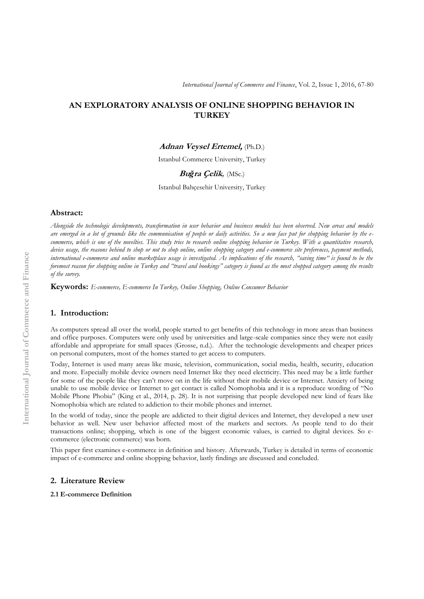# **AN EXPLORATORY ANALYSIS OF ONLINE SHOPPING BEHAVIOR IN TURKEY**

## **Adnan Veysel Ertemel,** (Ph.D.)

Istanbul Commerce University, Turkey

## **Bu***ğ***ra Çelik***,* (MSc.)

Istanbul Bahçesehir University, Turkey

#### **Abstract:**

*Alongside the technologic developments, transformation in user behavior and business models has been observed. New areas and models are emerged in a lot of grounds like the communication of people or daily activities. So a new face put for shopping behavior by the ecommerce, which is one of the novelties. This study tries to research online shopping behavior in Turkey. With a quantitative research, device usage, the reasons behind to shop or not to shop online, online shopping category and e-commerce site preferences, payment methods, international e-commerce and online marketplace usage is investigated. As implications of the research, "saving time" is found to be the foremost reason for shopping online in Turkey and "travel and bookings" category is found as the most shopped category among the results of the survey.*

**Keywords:** *E-commerce, E-commerce In Turkey, Online Shopping, Online Consumer Behavior*

### **1. Introduction:**

As computers spread all over the world, people started to get benefits of this technology in more areas than business and office purposes. Computers were only used by universities and large-scale companies since they were not easily affordable and appropriate for small spaces (Grosse, n.d.). After the technologic developments and cheaper prices on personal computers, most of the homes started to get access to computers.

Today, Internet is used many areas like music, television, communication, social media, health, security, education and more. Especially mobile device owners need Internet like they need electricity. This need may be a little further for some of the people like they can't move on in the life without their mobile device or Internet. Anxiety of being unable to use mobile device or Internet to get contact is called Nomophobia and it is a reproduce wording of "No Mobile Phone Phobia" (King et al., 2014, p. 28). It is not surprising that people developed new kind of fears like Nomophobia which are related to addiction to their mobile phones and internet.

In the world of today, since the people are addicted to their digital devices and Internet, they developed a new user behavior as well. New user behavior affected most of the markets and sectors. As people tend to do their transactions online; shopping, which is one of the biggest economic values, is carried to digital devices. So ecommerce (electronic commerce) was born.

This paper first examines e-commerce in definition and history. Afterwards, Turkey is detailed in terms of economic impact of e-commerce and online shopping behavior, lastly findings are discussed and concluded.

### **2. Literature Review**

## **2.1 E-commerce Definition**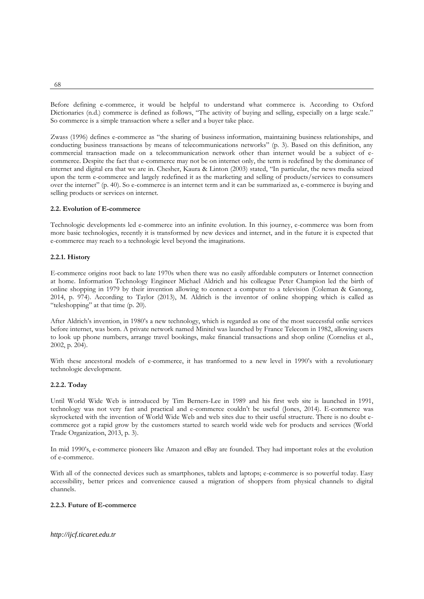Before defining e-commerce, it would be helpful to understand what commerce is. According to Oxford Dictionaries (n.d.) commerce is defined as follows, "The activity of buying and selling, especially on a large scale." So commerce is a simple transaction where a seller and a buyer take place.

Zwass (1996) defines e-commerce as "the sharing of business information, maintaining business relationships, and conducting business transactions by means of telecommunications networks" (p. 3). Based on this definition, any commercial transaction made on a telecommunication network other than internet would be a subject of ecommerce. Despite the fact that e-commerce may not be on internet only, the term is redefined by the dominance of internet and digital era that we are in. Chesher, Kaura & Linton (2003) stated, "In particular, the news media seized upon the term e-commerce and largely redefined it as the marketing and selling of products/services to consumers over the internet" (p. 40). So e-commerce is an internet term and it can be summarized as, e-commerce is buying and selling products or services on internet.

## **2.2. Evolution of E-commerce**

Technologic developments led e-commerce into an infinite evolution. In this journey, e-commerce was born from more basic technologies, recently it is transformed by new devices and internet, and in the future it is expected that e-commerce may reach to a technologic level beyond the imaginations.

### **2.2.1. History**

E-commerce origins root back to late 1970s when there was no easily affordable computers or Internet connection at home. Information Technology Engineer Michael Aldrich and his colleague Peter Champion led the birth of online shopping in 1979 by their invention allowing to connect a computer to a television (Coleman & Ganong, 2014, p. 974). According to Taylor (2013), M. Aldrich is the inventor of online shopping which is called as "teleshopping" at that time (p. 20).

After Aldrich's invention, in 1980's a new technology, which is regarded as one of the most successful onlie services before internet, was born. A private network named Minitel was launched by France Telecom in 1982, allowing users to look up phone numbers, arrange travel bookings, make financial transactions and shop online (Cornelius et al., 2002, p. 204).

With these ancestoral models of e-commerce, it has tranformed to a new level in 1990's with a revolutionary technologic development.

### **2.2.2. Today**

Until World Wide Web is introduced by Tim Berners-Lee in 1989 and his first web site is launched in 1991, technology was not very fast and practical and e-commerce couldn't be useful (Jones, 2014). E-commerce was skyrocketed with the invention of World Wide Web and web sites due to their useful structure. There is no doubt ecommerce got a rapid grow by the customers started to search world wide web for products and services (World Trade Organization, 2013, p. 3).

In mid 1990's, e-commerce pioneers like Amazon and eBay are founded. They had important roles at the evolution of e-commerce.

With all of the connected devices such as smartphones, tablets and laptops; e-commerce is so powerful today. Easy accessibility, better prices and convenience caused a migration of shoppers from physical channels to digital channels.

### **2.2.3. Future of E-commerce**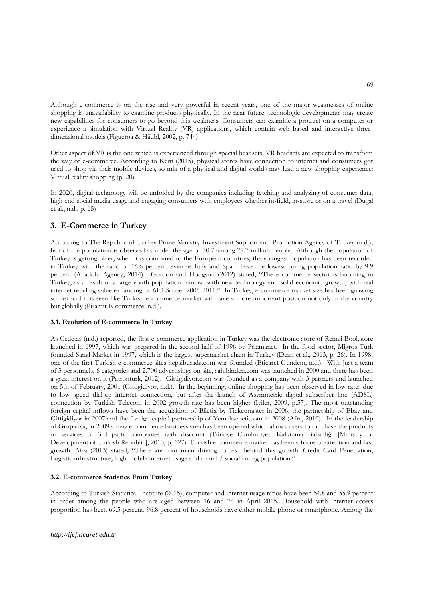Although e-commerce is on the rise and very powerful in recent years, one of the major weaknesses of online shopping is unavailability to examine products physically. In the near future, technologic developments may create new capabilities for consumers to go beyond this weakness. Consumers can examine a product on a computer or experience a simulation with Virtual Reality (VR) applications, which contain web based and interactive threedimensional models (Figueroa & Häubl, 2002, p. 744).

Other aspect of VR is the one which is experienced through special headsets. VR headsets are expected to transform the way of e-commerce. According to Kent (2015), physical stores have connection to internet and consumers got used to shop via their mobile devices, so mix of a physical and digital worlds may lead a new shopping experience: Virtual reality shopping (p. 20).

In 2020, digital technology will be unfolded by the companies including fetching and analyzing of consumer data, high end social media usage and engaging consumers with employees whether in-field, in-store or on a travel (Dugal et al., n.d., p. 15)

# **3. E-Commerce in Turkey**

According to The Republic of Turkey Prime Ministry Investment Support and Promotion Agency of Turkey (n.d.), half of the population is observed as under the age of 30.7 among 77.7 million people. Although the population of Turkey is getting older, when it is compared to the European countries, the youngest population has been recorded in Turkey with the ratio of 16.6 percent, even as Italy and Spain have the lowest young population ratio by 9.9 percent (Anadolu Agency, 2014). Gordon and Hodgson (2012) stated, "The e-commerce sector is booming in Turkey, as a result of a large youth population familiar with new technology and solid economic growth, with real internet retailing value expanding by 61.1% over 2006-2011." In Turkey, e-commerce market size has been growing so fast and it is seen like Turkish e-commerce market will have a more important position not only in the country but globally (Piramit E-commerce, n.d.).

### **3.1. Evolution of E-commerce In Turkey**

As Cedetaş (n.d.) reported, the first e-commerce application in Turkey was the electronic store of Remzi Bookstore launched in 1997, which was prepared in the second half of 1996 by Prizmanet. In the food sector, Migros Türk founded Sanal Market in 1997, which is the largest supermarket chain in Turkey (Dean et al., 2013, p. 26). In 1998, one of the first Turkish e-commerce sites hepsiburada.com was founded (Eticaret Gundem, n.d.). With just a team of 3 personnels, 6 categories and 2.700 advertisings on site, sahibinden.com was launched in 2000 and there has been a great interest on it (Patronturk, 2012). Gittigidiyor.com was founded as a company with 3 partners and launched on 5th of February, 2001 (Gittigidiyor, n.d.). In the beginning, online shopping has been observed in low rates due to low speed dial-up internet connection, but after the launch of Asymmetric digital subscriber line (ADSL) connection by Turkish Telecom in 2002 growth rate has been higher (İyiler, 2009, p.57). The most outstanding foreign capital inflows have been the acquisition of Biletix by Ticketmaster in 2006, the partnership of Ebay and Gittigidiyor in 2007 and the foreign capital partnership of Yemeksepeti.com in 2008 (Afra, 2010). In the leadership of Grupanya, in 2009 a new e-commerce business area has been opened which allows users to purchase the products or services of 3rd party companies with discount (Türkiye Cumhuriyeti Kalkınma Bakanlığı [Ministry of Development of Turkish Republic], 2013, p. 127). Turkish e-commerce market has been a focus of attention and fast growth. Afra (2013) stated, "There are four main driving forces behind this growth: Credit Card Penetration, Logistic infrastructure, high mobile internet usage and a viral / social young population.".

### **3.2. E-commerce Statistics From Turkey**

According to Turkish Statistical Institute (2015), computer and internet usage ratios have been 54.8 and 55.9 percent in order among the people who are aged between 16 and 74 in April 2015. Household with internet access proportion has been 69.5 percent. 96.8 percent of households have either mobile phone or smartphone. Among the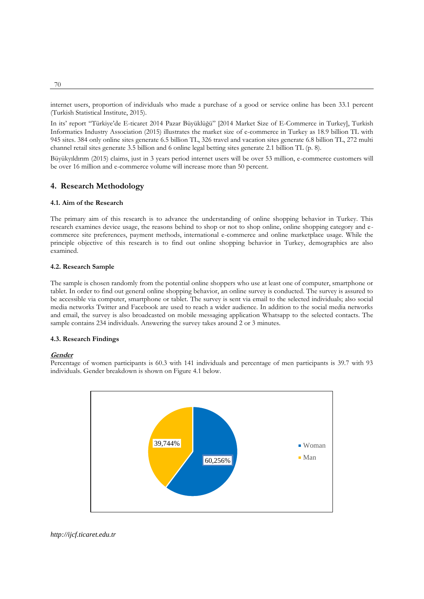internet users, proportion of individuals who made a purchase of a good or service online has been 33.1 percent (Turkish Statistical Institute, 2015).

In its' report "Türkiye'de E-ticaret 2014 Pazar Büyüklüğü" [2014 Market Size of E-Commerce in Turkey], Turkish Informatics Industry Association (2015) illustrates the market size of e-commerce in Turkey as 18.9 billion TL with 945 sites. 384 only online sites generate 6.5 billion TL, 326 travel and vacation sites generate 6.8 billion TL, 272 multi channel retail sites generate 3.5 billion and 6 online legal betting sites generate 2.1 billion TL (p. 8).

Büyükyıldırım (2015) claims, just in 3 years period internet users will be over 53 million, e-commerce customers will be over 16 million and e-commerce volume will increase more than 50 percent.

## **4. Research Methodology**

### **4.1. Aim of the Research**

The primary aim of this research is to advance the understanding of online shopping behavior in Turkey. This research examines device usage, the reasons behind to shop or not to shop online, online shopping category and ecommerce site preferences, payment methods, international e-commerce and online marketplace usage. While the principle objective of this research is to find out online shopping behavior in Turkey, demographics are also examined.

### **4.2. Research Sample**

The sample is chosen randomly from the potential online shoppers who use at least one of computer, smartphone or tablet. In order to find out general online shopping behavior, an online survey is conducted. The survey is assured to be accessible via computer, smartphone or tablet. The survey is sent via email to the selected individuals; also social media networks Twitter and Facebook are used to reach a wider audience. In addition to the social media networks and email, the survey is also broadcasted on mobile messaging application Whatsapp to the selected contacts. The sample contains 234 individuals. Answering the survey takes around 2 or 3 minutes.

### **4.3. Research Findings**

#### **Gender**

Percentage of women participants is 60.3 with 141 individuals and percentage of men participants is 39.7 with 93 individuals. Gender breakdown is shown on Figure 4.1 below.



*http://ijcf.ticaret.edu.tr*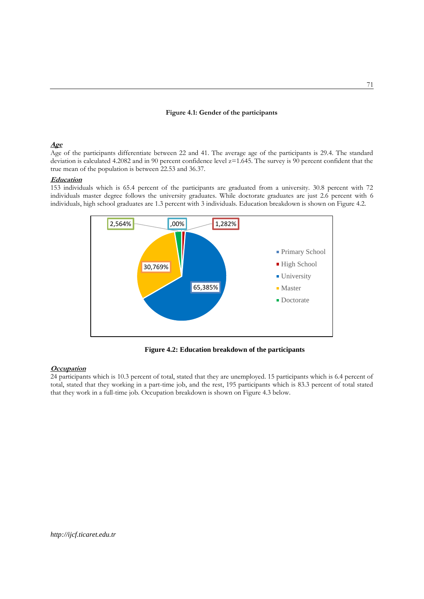## **Figure 4.1: Gender of the participants**

## **Age**

Age of the participants differentiate between 22 and 41. The average age of the participants is 29.4. The standard deviation is calculated 4.2082 and in 90 percent confidence level z=1.645. The survey is 90 percent confident that the true mean of the population is between 22.53 and 36.37.

### **Education**

153 individuals which is 65.4 percent of the participants are graduated from a university. 30.8 percent with 72 individuals master degree follows the university graduates. While doctorate graduates are just 2.6 percent with 6 individuals, high school graduates are 1.3 percent with 3 individuals. Education breakdown is shown on Figure 4.2.



**Figure 4.2: Education breakdown of the participants**

### **Occupation**

24 participants which is 10.3 percent of total, stated that they are unemployed. 15 participants which is 6.4 percent of total, stated that they working in a part-time job, and the rest, 195 participants which is 83.3 percent of total stated that they work in a full-time job. Occupation breakdown is shown on Figure 4.3 below.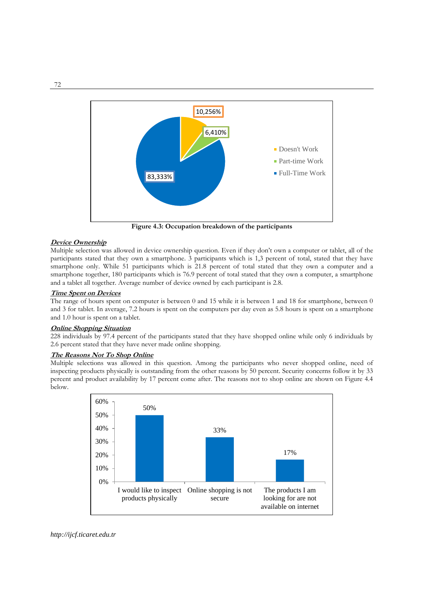

**Figure 4.3: Occupation breakdown of the participants**

## **Device Ownership**

Multiple selection was allowed in device ownership question. Even if they don't own a computer or tablet, all of the participants stated that they own a smartphone. 3 participants which is 1,3 percent of total, stated that they have smartphone only. While 51 participants which is 21.8 percent of total stated that they own a computer and a smartphone together, 180 participants which is 76.9 percent of total stated that they own a computer, a smartphone and a tablet all together. Average number of device owned by each participant is 2.8.

### **Time Spent on Devices**

The range of hours spent on computer is between 0 and 15 while it is between 1 and 18 for smartphone, between 0 and 3 for tablet. In average, 7.2 hours is spent on the computers per day even as 5.8 hours is spent on a smartphone and 1.0 hour is spent on a tablet.

## **Online Shopping Situation**

228 individuals by 97.4 percent of the participants stated that they have shopped online while only 6 individuals by 2.6 percent stated that they have never made online shopping.

### **The Reasons Not To Shop Online**

Multiple selections was allowed in this question. Among the participants who never shopped online, need of inspecting products physically is outstanding from the other reasons by 50 percent. Security concerns follow it by 33 percent and product availability by 17 percent come after. The reasons not to shop online are shown on Figure 4.4 below.

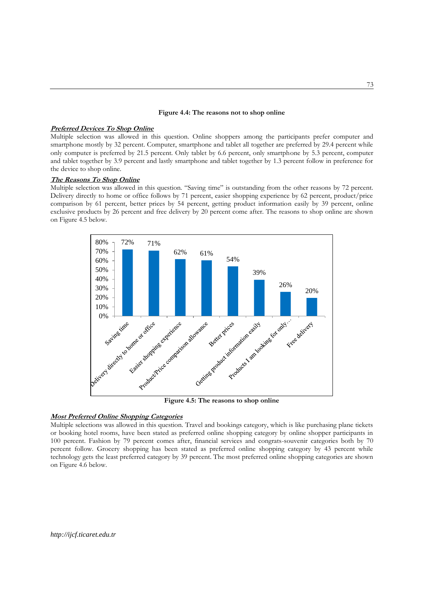## **Figure 4.4: The reasons not to shop online**

#### **Preferred Devices To Shop Online**

Multiple selection was allowed in this question. Online shoppers among the participants prefer computer and smartphone mostly by 32 percent. Computer, smartphone and tablet all together are preferred by 29.4 percent while only computer is preferred by 21.5 percent. Only tablet by 6.6 percent, only smartphone by 5.3 percent, computer and tablet together by 3.9 percent and lastly smartphone and tablet together by 1.3 percent follow in preference for the device to shop online.

#### **The Reasons To Shop Online**

Multiple selection was allowed in this question. "Saving time" is outstanding from the other reasons by 72 percent. Delivery directly to home or office follows by 71 percent, easier shopping experience by 62 percent, product/price comparison by 61 percent, better prices by 54 percent, getting product information easily by 39 percent, online exclusive products by 26 percent and free delivery by 20 percent come after. The reasons to shop online are shown on Figure 4.5 below.



#### **Most Preferred Online Shopping Categories**

Multiple selections was allowed in this question. Travel and bookings category, which is like purchasing plane tickets or booking hotel rooms, have been stated as preferred online shopping category by online shopper participants in 100 percent. Fashion by 79 percent comes after, financial services and congrats-souvenir categories both by 70 percent follow. Grocery shopping has been stated as preferred online shopping category by 43 percent while technology gets the least preferred category by 39 percent. The most preferred online shopping categories are shown on Figure 4.6 below.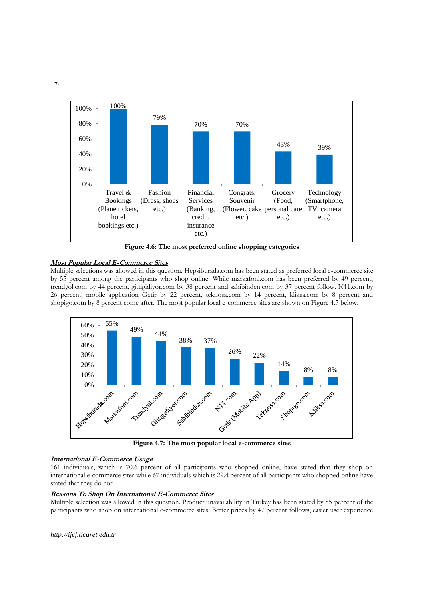

**Figure 4.6: The most preferred online shopping categories**

# **Most Popular Local E-Commerce Sites**

Multiple selections was allowed in this question. Hepsiburada.com has been stated as preferred local e-commerce site by 55 percent among the participants who shop online. While markafoni.com has been preferred by 49 percent, trendyol.com by 44 percent, gittigidiyor.com by 38 percent and sahibinden.com by 37 percent follow. N11.com by 26 percent, mobile application Getir by 22 percent, teknosa.com by 14 percent, kliksa.com by 8 percent and shopigo.com by 8 percent come after. The most popular local e-commerce sites are shown on Figure 4.7 below.



**Figure 4.7: The most popular local e-commerce sites**

# **International E-Commerce Usage**

161 individuals, which is 70.6 percent of all participants who shopped online, have stated that they shop on international e-commerce sites while 67 individuals which is 29.4 percent of all participants who shopped online have stated that they do not.

## **Reasons To Shop On International E-Commerce Sites**

Multiple selection was allowed in this question. Product unavailability in Turkey has been stated by 85 percent of the participants who shop on international e-commerce sites. Better prices by 47 percent follows, easier user experience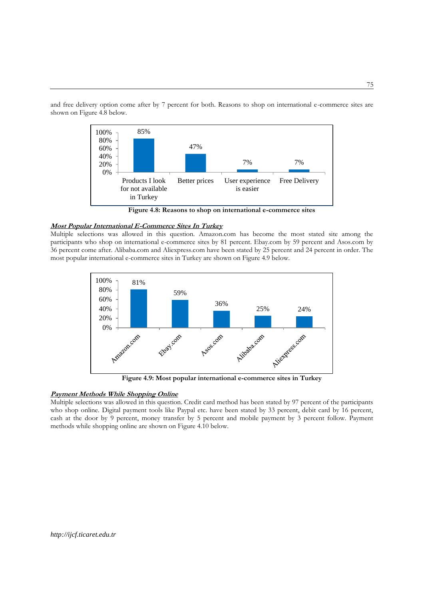and free delivery option come after by 7 percent for both. Reasons to shop on international e-commerce sites are shown on Figure 4.8 below.



 **Figure 4.8: Reasons to shop on international e-commerce sites**

## **Most Popular International E-Commerce Sites In Turkey**

Multiple selections was allowed in this question. Amazon.com has become the most stated site among the participants who shop on international e-commerce sites by 81 percent. Ebay.com by 59 percent and Asos.com by 36 percent come after. Alibaba.com and Aliexpress.com have been stated by 25 percent and 24 percent in order. The most popular international e-commerce sites in Turkey are shown on Figure 4.9 below.



 **Figure 4.9: Most popular international e-commerce sites in Turkey**

## **Payment Methods While Shopping Online**

Multiple selections was allowed in this question. Credit card method has been stated by 97 percent of the participants who shop online. Digital payment tools like Paypal etc. have been stated by 33 percent, debit card by 16 percent, cash at the door by 9 percent, money transfer by 5 percent and mobile payment by 3 percent follow. Payment methods while shopping online are shown on Figure 4.10 below.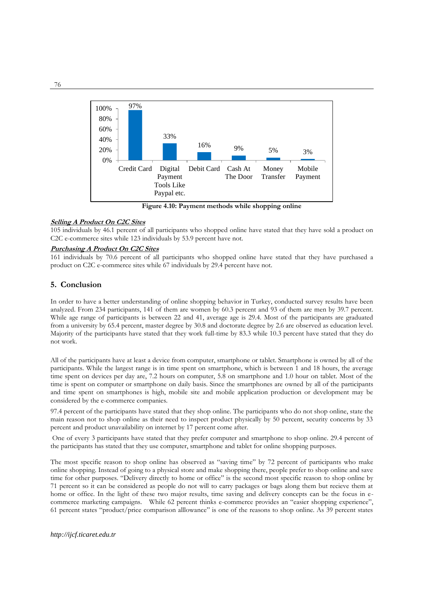

 **Figure 4.10: Payment methods while shopping online**

## **Selling A Product On C2C Sites**

105 individuals by 46.1 percent of all participants who shopped online have stated that they have sold a product on C2C e-commerce sites while 123 individuals by 53.9 percent have not.

#### **Purchasing A Product On C2C Sites**

161 individuals by 70.6 percent of all participants who shopped online have stated that they have purchased a product on C2C e-commerce sites while 67 individuals by 29.4 percent have not.

## **5. Conclusion**

In order to have a better understanding of online shopping behavior in Turkey, conducted survey results have been analyzed. From 234 participants, 141 of them are women by 60.3 percent and 93 of them are men by 39.7 percent. While age range of participants is between 22 and 41, average age is 29.4. Most of the participants are graduated from a university by 65.4 percent, master degree by 30.8 and doctorate degree by 2.6 are observed as education level. Majority of the participants have stated that they work full-time by 83.3 while 10.3 percent have stated that they do not work.

All of the participants have at least a device from computer, smartphone or tablet. Smartphone is owned by all of the participants. While the largest range is in time spent on smartphone, which is between 1 and 18 hours, the average time spent on devices per day are, 7.2 hours on computer, 5.8 on smartphone and 1.0 hour on tablet. Most of the time is spent on computer or smartphone on daily basis. Since the smartphones are owned by all of the participants and time spent on smartphones is high, mobile site and mobile application production or development may be considered by the e-commerce companies.

97.4 percent of the participants have stated that they shop online. The participants who do not shop online, state the main reason not to shop online as their need to inspect product physically by 50 percent, security concerns by 33 percent and product unavailability on internet by 17 percent come after.

One of every 3 participants have stated that they prefer computer and smartphone to shop online. 29.4 percent of the participants has stated that they use computer, smartphone and tablet for online shopping purposes.

The most specific reason to shop online has observed as "saving time" by 72 percent of participants who make online shopping. Instead of going to a physical store and make shopping there, people prefer to shop online and save time for other purposes. "Delivery directly to home or office" is the second most specific reason to shop online by 71 percent so it can be considered as people do not will to carry packages or bags along them but recieve them at home or office. In the light of these two major results, time saving and delivery concepts can be the focus in ecommerce marketing campaigns. While 62 percent thinks e-commerce provides an "easier shopping experience", 61 percent states "product/price comparison alllowance" is one of the reasons to shop online. As 39 percent states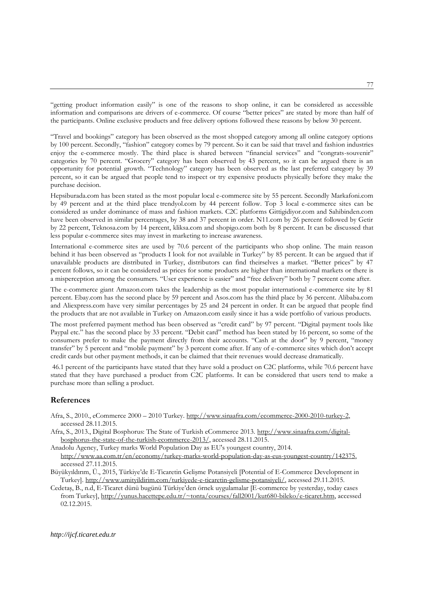"getting product information easily" is one of the reasons to shop online, it can be considered as accessible information and comparisons are drivers of e-commerce. Of course "better prices" are stated by more than half of the participants. Online exclusive products and free delivery options followed these reasons by below 30 percent.

"Travel and bookings" category has been observed as the most shopped category among all online category options by 100 percent. Secondly, "fashion" category comes by 79 percent. So it can be said that travel and fashion industries enjoy the e-commerce mostly. The third place is shared between "financial services" and "congrats-souvenir" categories by 70 percent. "Grocery" category has been observed by 43 percent, so it can be argued there is an opportunity for potential growth. "Technology" category has been observed as the last preferred category by 39 percent, so it can be argued that people tend to inspect or try expensive products physically before they make the purchase decision.

Hepsiburada.com has been stated as the most popular local e-commerce site by 55 percent. Secondly Markafoni.com by 49 percent and at the third place trendyol.com by 44 percent follow. Top 3 local e-commerce sites can be considered as under dominance of mass and fashion markets. C2C platforms Gittigidiyor.com and Sahibinden.com have been observed in similar percentages, by 38 and 37 percent in order. N11.com by 26 percent followed by Getir by 22 percent, Teknosa.com by 14 percent, kliksa.com and shopigo.com both by 8 percent. It can be discussed that less popular e-commerce sites may invest in marketing to increase awareness.

International e-commerce sites are used by 70.6 percent of the participants who shop online. The main reason behind it has been observed as "products I look for not available in Turkey" by 85 percent. It can be argued that if unavailable products are distributed in Turkey, distributors can find theirselves a market. "Better prices" by 47 percent follows, so it can be considered as prices for some products are higher than international markets or there is a misperception among the consumers. "User experience is easier" and "free delivery" both by 7 percent come after.

The e-commerce giant Amazon.com takes the leadership as the most popular international e-commerce site by 81 percent. Ebay.com has the second place by 59 percent and Asos.com has the third place by 36 percent. Alibaba.com and Aliexpress.com have very similar percentages by 25 and 24 percent in order. It can be argued that people find the products that are not available in Turkey on Amazon.com easily since it has a wide portfolio of various products.

The most preferred payment method has been observed as "credit card" by 97 percent. "Digital payment tools like Paypal etc." has the second place by 33 percent. "Debit card" method has been stated by 16 percent, so some of the consumers prefer to make the payment directly from their accounts. "Cash at the door" by 9 percent, "money transfer" by 5 percent and "mobile payment" by 3 percent come after. If any of e-commerce sites which don't accept credit cards but other payment methods, it can be claimed that their revenues would decrease dramatically.

46.1 percent of the participants have stated that they have sold a product on C2C platforms, while 70.6 percent have stated that they have purchased a product from C2C platforms. It can be considered that users tend to make a purchase more than selling a product.

## **References**

- Afra, S., 2010., eCommerce 2000 2010 Turkey[. http://www.sinaafra.com/ecommerce-2000-2010-turkey-2,](http://www.sinaafra.com/ecommerce-2000-2010-turkey-2)  accessed 28.11.2015.
- Afra, S., 2013., Digital Bosphorus: The State of Turkish eCommerce 2013. [http://www.sinaafra.com/digital](http://www.sinaafra.com/digital-bosphorus-the-state-of-the-turkish-ecommerce-2013/)[bosphorus-the-state-of-the-turkish-ecommerce-2013/,](http://www.sinaafra.com/digital-bosphorus-the-state-of-the-turkish-ecommerce-2013/) accessed 28.11.2015.
- Anadolu Agency, Turkey marks World Population Day as EU's youngest country, 2014. [http://www.aa.com.tr/en/economy/turkey-marks-world-population-day-as-eus-youngest-country/142375,](http://www.aa.com.tr/en/economy/turkey-marks-world-population-day-as-eus-youngest-country/142375) accessed 27.11.2015.
- Büyükyıldırım, Ü., 2015, Türkiye'de E-Ticaretin Gelişme Potansiyeli [Potential of E-Commerce Development in Turkey]. [http://www.umityildirim.com/turkiyede-e-ticaretin-gelisme-potansiyeli/,](http://www.umityildirim.com/turkiyede-e-ticaretin-gelisme-potansiyeli/) accessed 29.11.2015.
- Cedetaş, B., n.d, E-Ticaret dünü bugünü Türkiye'den örnek uygulamalar [E-commerce by yesterday, today cases from Turkey], [http://yunus.hacettepe.edu.tr/~tonta/courses/fall2001/kut680-bileko/e-ticaret.htm,](http://yunus.hacettepe.edu.tr/~tonta/courses/fall2001/kut680-bileko/e-ticaret.htm) accessed 02.12.2015.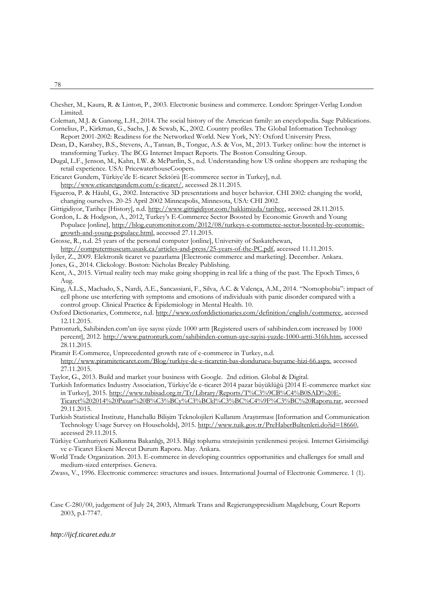Chesher, M., Kaura, R. & Linton, P., 2003. Electronic business and commerce. London: Springer-Verlag London Limited.

Coleman, M.J. & Ganong, L.H., 2014. The social history of the American family: an encyclopedia. Sage Publications. Cornelius, P., Kirkman, G., Sachs, J. & Scwab, K., 2002. Country profiles. The Global Information Technology Report 2001-2002: Readiness for the Networked World. New York, NY: Oxford University Press.

- Dean, D., Karabey, B.S., Stevens, A., Tansan, B., Tonguc, A.S. & Vos, M., 2013. Turkey online: how the internet is transforming Turkey. The BCG Internet Impact Reports. The Boston Consulting Group.
- Dugal, L.F., Jenson, M., Kahn, I.W. & McPartlin, S., n.d. Understanding how US online shoppers are reshaping the retail experience. USA: PricewaterhouseCoopers.
- Eticaret Gundem, Türkiye'de E-ticaret Sektörü [E-commerce sector in Turkey], n.d. [http://www.eticaretgundem.com/e-ticaret/,](http://www.eticaretgundem.com/e-ticaret/) accessed 28.11.2015.
- Figueroa, P. & Häubl, G., 2002. Interactive 3D presentations and buyer behavior. CHI 2002: changing the world, changing ourselves. 20-25 April 2002 Minneapolis, Minnesota, USA: CHI 2002.

Gittigidiyor, Tarihçe [History], n.d. [http://www.gittigidiyor.com/hakkimizda/tarihce,](http://www.gittigidiyor.com/hakkimizda/tarihce) accessed 28.11.2015.

Gordon, L. & Hodgson, A., 2012, Turkey's E-Commerce Sector Boosted by Economic Growth and Young Populace [online], [http://blog.euromonitor.com/2012/08/turkeys-e-commerce-sector-boosted-by-economic](http://blog.euromonitor.com/2012/08/turkeys-e-commerce-sector-boosted-by-economic-growth-and-young-populace.html)[growth-and-young-populace.html,](http://blog.euromonitor.com/2012/08/turkeys-e-commerce-sector-boosted-by-economic-growth-and-young-populace.html) accessed 27.11.2015.

Grosse, R., n.d. 25 years of the personal computer [online], University of Saskatchewan,

[http://computermuseum.usask.ca/articles-and-press/25-years-of-the-PC.pdf,](http://computermuseum.usask.ca/articles-and-press/25-years-of-the-PC.pdf) accessed 11.11.2015.

- İyiler, Z., 2009. Elektronik ticaret ve pazarlama [Electronic commerce and marketing]. December. Ankara. Jones, G., 2014. Clickology. Boston: Nicholas Brealey Publishing.
- Kent, A., 2015. Virtual reality tech may make going shopping in real life a thing of the past. The Epoch Times, 6
- Aug.
- King, A.L.S., Machado, S., Nardi, A.E., Sancassiani, F., Silva, A.C. & Valença, A.M., 2014. "Nomophobia": impact of cell phone use ınterfering with symptoms and emotions of ındividuals with panic disorder compared with a control group. Clinical Practice & Epidemiology in Mental Health. 10.
- Oxford Dictionaries, Commerce, n.d[. http://www.oxforddictionaries.com/definition/english/commerce,](http://www.oxforddictionaries.com/definition/english/commerce) accessed 12.11.2015.
- Patronturk, Sahibinden.com'un üye sayısı yüzde 1000 arttı [Registered users of sahibinden.com increased by 1000 percent], 2012. [http://www.patronturk.com/sahibinden-comun-uye-sayisi-yuzde-1000-artti-316h.htm,](http://www.patronturk.com/sahibinden-comun-uye-sayisi-yuzde-1000-artti-316h.htm) accessed 28.11.2015.
- Piramit E-Commerce, Unprecedented growth rate of e-commerce in Turkey, n.d. [http://www.piramiteticaret.com/Blog/turkiye-de-e-ticaretin-bas-dondurucu-buyume-hizi-66.aspx,](http://www.piramiteticaret.com/Blog/turkiye-de-e-ticaretin-bas-dondurucu-buyume-hizi-66.aspx) accessed 27.11.2015.
- Taylor, G., 2013. Build and market your business with Google. 2nd edition. Global & Digital.
- Turkish Informatics Industry Association, Türkiye'de e-ticaret 2014 pazar büyüklüğü [2014 E-commerce market size in Turkey], 2015. [http://www.tubisad.org.tr/Tr/Library/Reports/T%C3%9CB%C4%B0SAD%20E-](http://www.tubisad.org.tr/Tr/Library/Reports/T%C3%9CB%C4%B0SAD%20E-Ticaret%202014%20Pazar%20B%C3%BCy%C3%BCkl%C3%BC%C4%9F%C3%BC%20Raporu.rar)[Ticaret%202014%20Pazar%20B%C3%BCy%C3%BCkl%C3%BC%C4%9F%C3%BC%20Raporu.rar,](http://www.tubisad.org.tr/Tr/Library/Reports/T%C3%9CB%C4%B0SAD%20E-Ticaret%202014%20Pazar%20B%C3%BCy%C3%BCkl%C3%BC%C4%9F%C3%BC%20Raporu.rar) accessed 29.11.2015.
- Turkish Statistical Institute, Hanehalkı Bilişim Teknolojileri Kullanım Araştırması [Information and Communication Technology Usage Survey on Households], 2015. [http://www.tuik.gov.tr/PreHaberBultenleri.do?id=18660,](http://www.tuik.gov.tr/PreHaberBultenleri.do?id=18660)  accessed 29.11.2015.
- Türkiye Cumhuriyeti Kalkınma Bakanlığı, 2013. Bilgi toplumu stratejisinin yenilenmesi projesi. Internet Girisimciligi ve e-Ticaret Ekseni Mevcut Durum Raporu. May. Ankara.
- World Trade Organization. 2013. E-commerce in developing countries opportunities and challenges for small and medium-sized enterprises. Geneva.
- Zwass, V., 1996. Electronic commerce: structures and issues. International Journal of Electronic Commerce. 1 (1).
- Case C-280/00, judgement of July 24, 2003, Altmark Trans and Regierungspresidium Magdeburg, Court Reports 2003, p.I-7747.

78